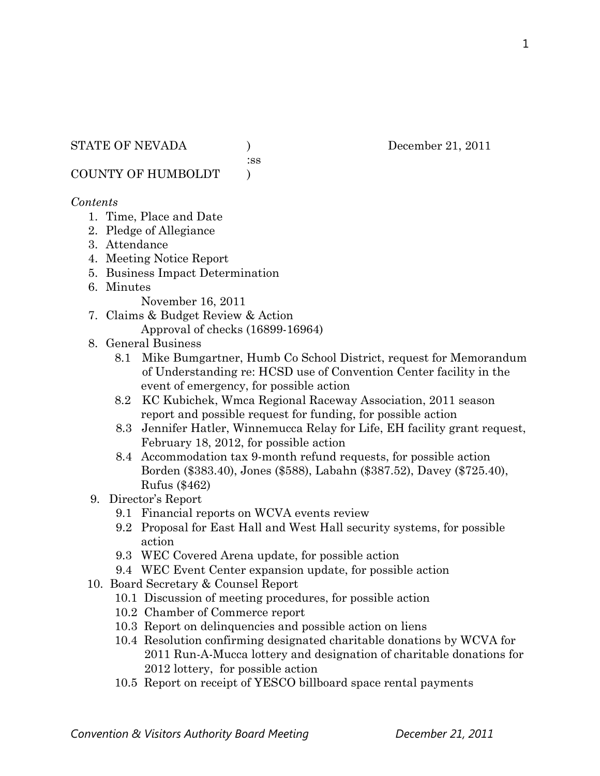:ss

COUNTY OF HUMBOLDT )

#### *Contents*

- 1. Time, Place and Date
- 2. Pledge of Allegiance
- 3. Attendance
- 4. Meeting Notice Report
- 5. Business Impact Determination
- 6. Minutes

November 16, 2011

- 7. Claims & Budget Review & Action Approval of checks (16899-16964)
- 8. General Business
	- 8.1 Mike Bumgartner, Humb Co School District, request for Memorandum of Understanding re: HCSD use of Convention Center facility in the event of emergency, for possible action
	- 8.2 KC Kubichek, Wmca Regional Raceway Association, 2011 season report and possible request for funding, for possible action
	- 8.3 Jennifer Hatler, Winnemucca Relay for Life, EH facility grant request, February 18, 2012, for possible action
	- 8.4 Accommodation tax 9-month refund requests, for possible action Borden (\$383.40), Jones (\$588), Labahn (\$387.52), Davey (\$725.40), Rufus (\$462)
- 9. Director's Report
	- 9.1 Financial reports on WCVA events review
	- 9.2 Proposal for East Hall and West Hall security systems, for possible action
	- 9.3 WEC Covered Arena update, for possible action
	- 9.4 WEC Event Center expansion update, for possible action
- 10. Board Secretary & Counsel Report
	- 10.1 Discussion of meeting procedures, for possible action
	- 10.2 Chamber of Commerce report
	- 10.3 Report on delinquencies and possible action on liens
	- 10.4 Resolution confirming designated charitable donations by WCVA for 2011 Run-A-Mucca lottery and designation of charitable donations for 2012 lottery, for possible action
	- 10.5 Report on receipt of YESCO billboard space rental payments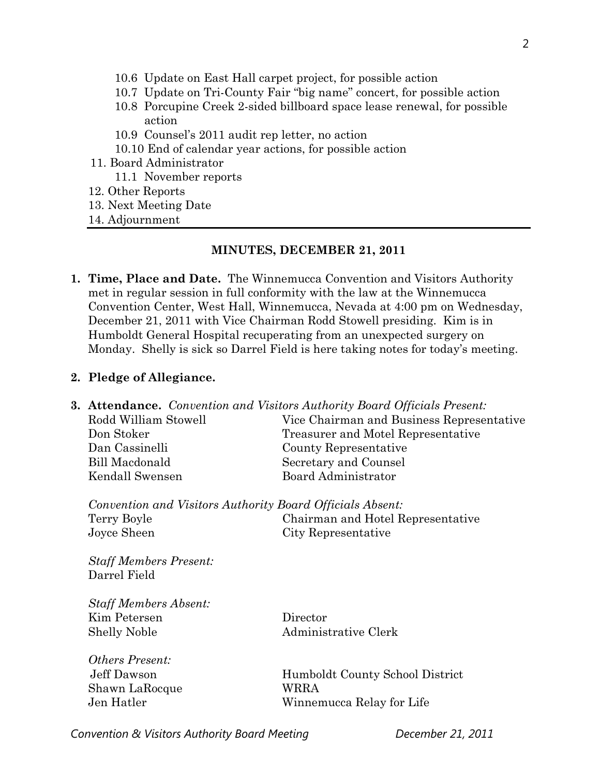- 10.6 Update on East Hall carpet project, for possible action
- 10.7 Update on Tri-County Fair "big name" concert, for possible action
- 10.8 Porcupine Creek 2-sided billboard space lease renewal, for possible action
- 10.9 Counsel's 2011 audit rep letter, no action
- 10.10 End of calendar year actions, for possible action
- 11. Board Administrator
	- 11.1 November reports
- 12. Other Reports
- 13. Next Meeting Date
- 14. Adjournment

#### **MINUTES, DECEMBER 21, 2011**

**1. Time, Place and Date.** The Winnemucca Convention and Visitors Authority met in regular session in full conformity with the law at the Winnemucca Convention Center, West Hall, Winnemucca, Nevada at 4:00 pm on Wednesday, December 21, 2011 with Vice Chairman Rodd Stowell presiding. Kim is in Humboldt General Hospital recuperating from an unexpected surgery on Monday. Shelly is sick so Darrel Field is here taking notes for today's meeting.

#### **2. Pledge of Allegiance.**

| <b>3. Attendance.</b> Convention and Visitors Authority Board Officials Present: |                                           |  |
|----------------------------------------------------------------------------------|-------------------------------------------|--|
| Rodd William Stowell                                                             | Vice Chairman and Business Representative |  |
| Don Stoker                                                                       | Treasurer and Motel Representative        |  |
| Dan Cassinelli                                                                   | County Representative                     |  |
| Bill Macdonald                                                                   | Secretary and Counsel                     |  |
| Kendall Swensen                                                                  | <b>Board Administrator</b>                |  |
| Convention and Visitors Authority Board Officials Absent:                        |                                           |  |
| Terry Boyle                                                                      | Chairman and Hotel Representative         |  |
| Joyce Sheen                                                                      | City Representative                       |  |
| <b>Staff Members Present:</b>                                                    |                                           |  |
| Darrel Field                                                                     |                                           |  |
| <b>Staff Members Absent:</b>                                                     |                                           |  |
| Kim Petersen                                                                     | Director                                  |  |
| <b>Shelly Noble</b>                                                              | Administrative Clerk                      |  |
| Others Present:                                                                  |                                           |  |
| Jeff Dawson                                                                      | Humboldt County School District           |  |
| Shawn LaRocque                                                                   | WRRA                                      |  |
| Jen Hatler                                                                       | Winnemucca Relay for Life                 |  |
|                                                                                  |                                           |  |

*Convention & Visitors Authority Board Meeting December 21, 2011*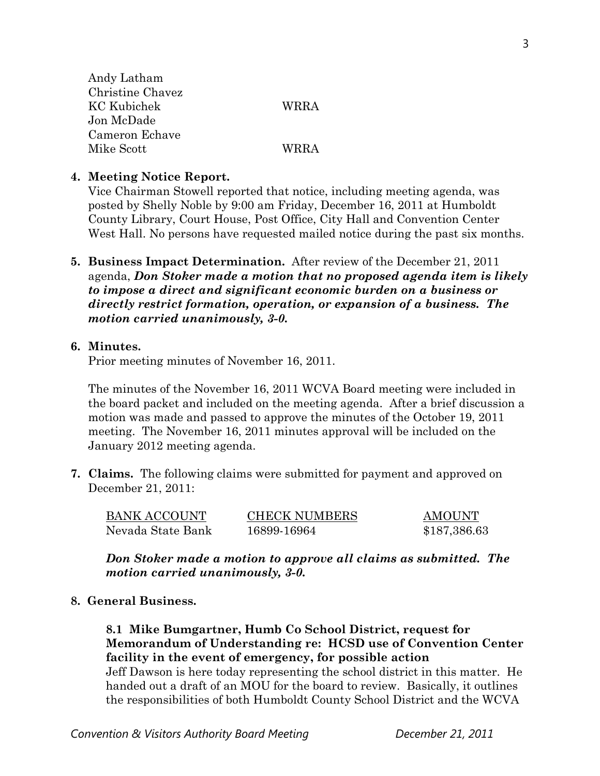| <b>WRRA</b> |
|-------------|
|             |
|             |
| <b>WRRA</b> |
|             |

#### **4. Meeting Notice Report.**

Vice Chairman Stowell reported that notice, including meeting agenda, was posted by Shelly Noble by 9:00 am Friday, December 16, 2011 at Humboldt County Library, Court House, Post Office, City Hall and Convention Center West Hall. No persons have requested mailed notice during the past six months.

**5. Business Impact Determination.** After review of the December 21, 2011 agenda, *Don Stoker made a motion that no proposed agenda item is likely to impose a direct and significant economic burden on a business or directly restrict formation, operation, or expansion of a business. The motion carried unanimously, 3-0.* 

### **6. Minutes.**

Prior meeting minutes of November 16, 2011.

The minutes of the November 16, 2011 WCVA Board meeting were included in the board packet and included on the meeting agenda. After a brief discussion a motion was made and passed to approve the minutes of the October 19, 2011 meeting. The November 16, 2011 minutes approval will be included on the January 2012 meeting agenda.

**7. Claims.** The following claims were submitted for payment and approved on December 21, 2011:

| <b>BANK ACCOUNT</b> | <b>CHECK NUMBERS</b> | <b>AMOUNT</b> |
|---------------------|----------------------|---------------|
| Nevada State Bank   | 16899-16964          | \$187,386.63  |

*Don Stoker made a motion to approve all claims as submitted. The motion carried unanimously, 3-0.* 

### **8. General Business.**

**8.1 Mike Bumgartner, Humb Co School District, request for Memorandum of Understanding re: HCSD use of Convention Center facility in the event of emergency, for possible action** 

Jeff Dawson is here today representing the school district in this matter. He handed out a draft of an MOU for the board to review. Basically, it outlines the responsibilities of both Humboldt County School District and the WCVA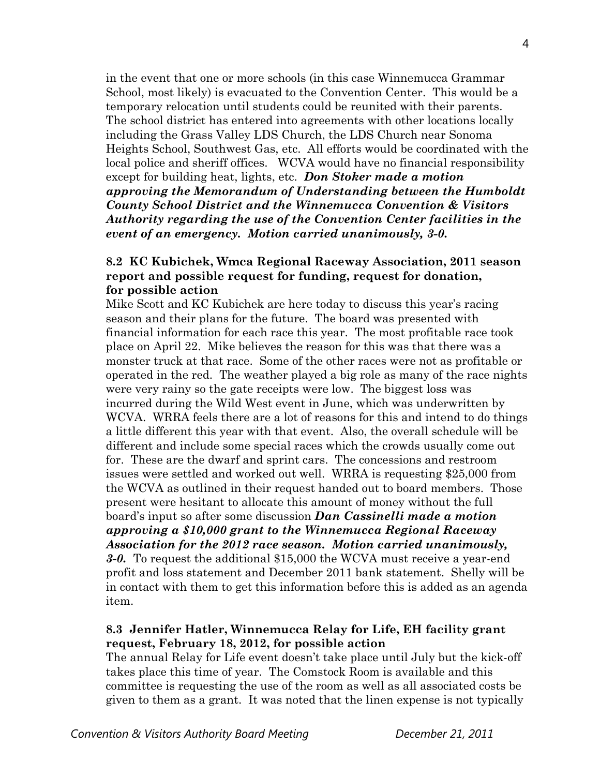in the event that one or more schools (in this case Winnemucca Grammar School, most likely) is evacuated to the Convention Center. This would be a temporary relocation until students could be reunited with their parents. The school district has entered into agreements with other locations locally including the Grass Valley LDS Church, the LDS Church near Sonoma Heights School, Southwest Gas, etc. All efforts would be coordinated with the local police and sheriff offices. WCVA would have no financial responsibility except for building heat, lights, etc. *Don Stoker made a motion approving the Memorandum of Understanding between the Humboldt County School District and the Winnemucca Convention & Visitors Authority regarding the use of the Convention Center facilities in the event of an emergency. Motion carried unanimously, 3-0.* 

#### **8.2 KC Kubichek, Wmca Regional Raceway Association, 2011 season report and possible request for funding, request for donation, for possible action**

Mike Scott and KC Kubichek are here today to discuss this year's racing season and their plans for the future. The board was presented with financial information for each race this year. The most profitable race took place on April 22. Mike believes the reason for this was that there was a monster truck at that race. Some of the other races were not as profitable or operated in the red. The weather played a big role as many of the race nights were very rainy so the gate receipts were low. The biggest loss was incurred during the Wild West event in June, which was underwritten by WCVA. WRRA feels there are a lot of reasons for this and intend to do things a little different this year with that event. Also, the overall schedule will be different and include some special races which the crowds usually come out for. These are the dwarf and sprint cars. The concessions and restroom issues were settled and worked out well. WRRA is requesting \$25,000 from the WCVA as outlined in their request handed out to board members. Those present were hesitant to allocate this amount of money without the full board's input so after some discussion *Dan Cassinelli made a motion approving a \$10,000 grant to the Winnemucca Regional Raceway Association for the 2012 race season. Motion carried unanimously, 3-0.* To request the additional \$15,000 the WCVA must receive a year-end profit and loss statement and December 2011 bank statement. Shelly will be in contact with them to get this information before this is added as an agenda item.

### **8.3 Jennifer Hatler, Winnemucca Relay for Life, EH facility grant request, February 18, 2012, for possible action**

The annual Relay for Life event doesn't take place until July but the kick-off takes place this time of year. The Comstock Room is available and this committee is requesting the use of the room as well as all associated costs be given to them as a grant. It was noted that the linen expense is not typically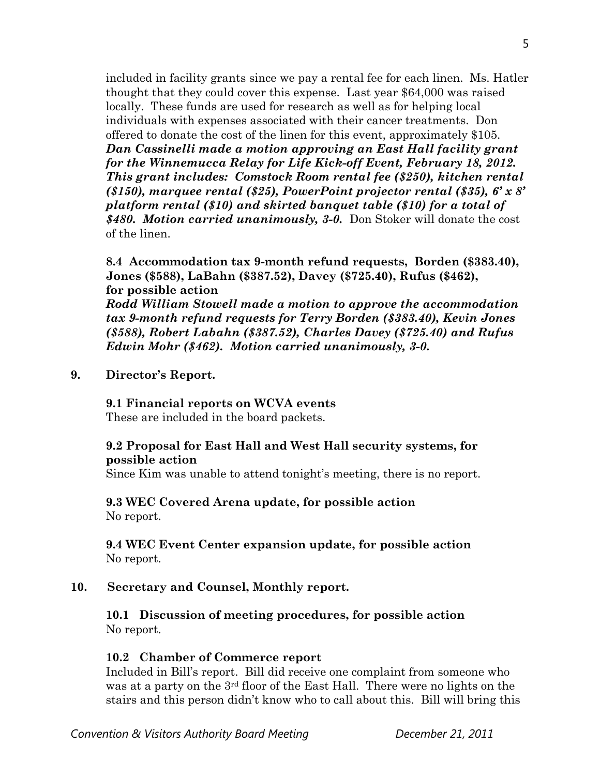included in facility grants since we pay a rental fee for each linen. Ms. Hatler thought that they could cover this expense. Last year \$64,000 was raised locally. These funds are used for research as well as for helping local individuals with expenses associated with their cancer treatments. Don offered to donate the cost of the linen for this event, approximately \$105. *Dan Cassinelli made a motion approving an East Hall facility grant for the Winnemucca Relay for Life Kick-off Event, February 18, 2012. This grant includes: Comstock Room rental fee (\$250), kitchen rental (\$150), marquee rental (\$25), PowerPoint projector rental (\$35), 6' x 8' platform rental (\$10) and skirted banquet table (\$10) for a total of \$480. Motion carried unanimously, 3-0.* Don Stoker will donate the cost of the linen.

**8.4 Accommodation tax 9-month refund requests, Borden (\$383.40), Jones (\$588), LaBahn (\$387.52), Davey (\$725.40), Rufus (\$462), for possible action** 

*Rodd William Stowell made a motion to approve the accommodation tax 9-month refund requests for Terry Borden (\$383.40), Kevin Jones (\$588), Robert Labahn (\$387.52), Charles Davey (\$725.40) and Rufus Edwin Mohr (\$462). Motion carried unanimously, 3-0.*

**9. Director's Report.** 

**9.1 Financial reports on WCVA events** 

These are included in the board packets.

# **9.2 Proposal for East Hall and West Hall security systems, for possible action**

Since Kim was unable to attend tonight's meeting, there is no report.

**9.3 WEC Covered Arena update, for possible action**  No report.

**9.4 WEC Event Center expansion update, for possible action**  No report.

### **10. Secretary and Counsel, Monthly report.**

**10.1 Discussion of meeting procedures, for possible action**  No report.

### **10.2 Chamber of Commerce report**

Included in Bill's report. Bill did receive one complaint from someone who was at a party on the 3<sup>rd</sup> floor of the East Hall. There were no lights on the stairs and this person didn't know who to call about this. Bill will bring this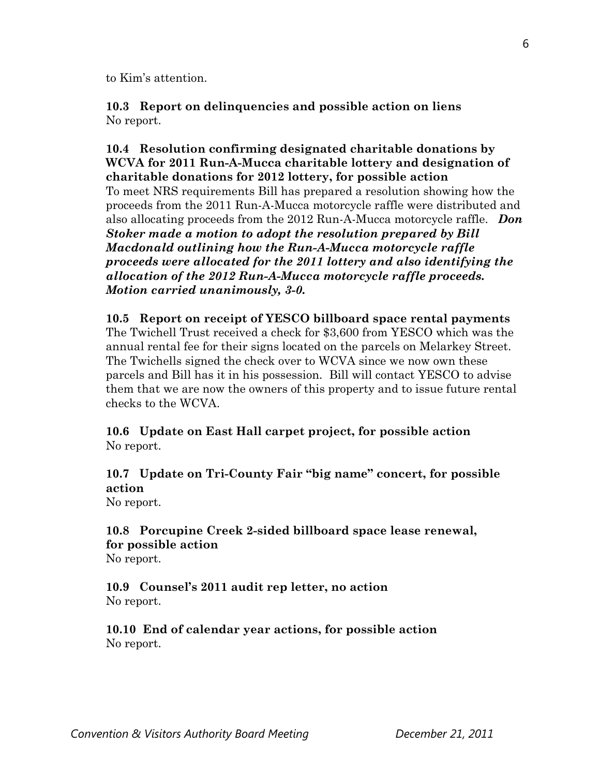to Kim's attention.

**10.3 Report on delinquencies and possible action on liens**  No report.

**10.4 Resolution confirming designated charitable donations by WCVA for 2011 Run-A-Mucca charitable lottery and designation of charitable donations for 2012 lottery, for possible action** To meet NRS requirements Bill has prepared a resolution showing how the proceeds from the 2011 Run-A-Mucca motorcycle raffle were distributed and also allocating proceeds from the 2012 Run-A-Mucca motorcycle raffle. *Don Stoker made a motion to adopt the resolution prepared by Bill Macdonald outlining how the Run-A-Mucca motorcycle raffle proceeds were allocated for the 2011 lottery and also identifying the allocation of the 2012 Run-A-Mucca motorcycle raffle proceeds. Motion carried unanimously, 3-0.* 

**10.5 Report on receipt of YESCO billboard space rental payments**  The Twichell Trust received a check for \$3,600 from YESCO which was the annual rental fee for their signs located on the parcels on Melarkey Street. The Twichells signed the check over to WCVA since we now own these parcels and Bill has it in his possession. Bill will contact YESCO to advise them that we are now the owners of this property and to issue future rental checks to the WCVA.

**10.6 Update on East Hall carpet project, for possible action**  No report.

# **10.7 Update on Tri-County Fair "big name" concert, for possible action**

No report.

**10.8 Porcupine Creek 2-sided billboard space lease renewal, for possible action**  No report.

**10.9 Counsel's 2011 audit rep letter, no action**  No report.

**10.10 End of calendar year actions, for possible action**  No report.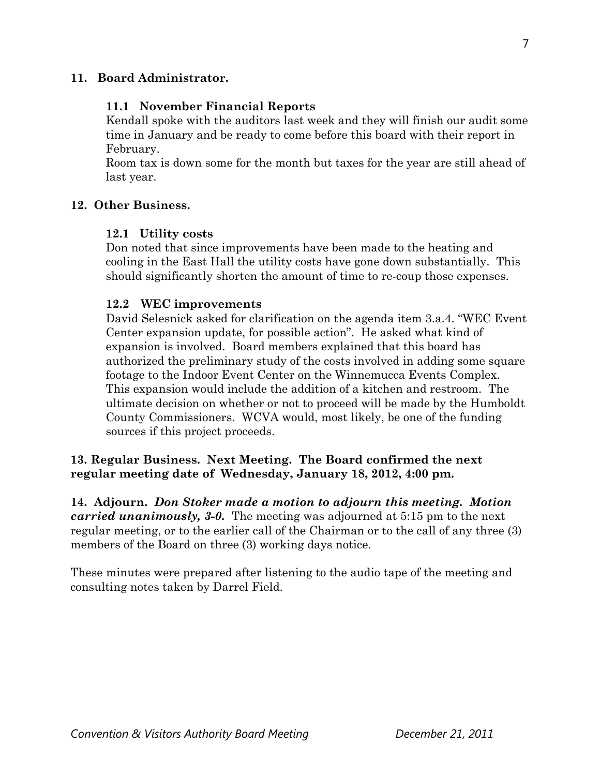# **11. Board Administrator.**

## **11.1 November Financial Reports**

Kendall spoke with the auditors last week and they will finish our audit some time in January and be ready to come before this board with their report in February.

Room tax is down some for the month but taxes for the year are still ahead of last year.

# **12. Other Business.**

### **12.1 Utility costs**

Don noted that since improvements have been made to the heating and cooling in the East Hall the utility costs have gone down substantially. This should significantly shorten the amount of time to re-coup those expenses.

### **12.2 WEC improvements**

David Selesnick asked for clarification on the agenda item 3.a.4. "WEC Event Center expansion update, for possible action". He asked what kind of expansion is involved. Board members explained that this board has authorized the preliminary study of the costs involved in adding some square footage to the Indoor Event Center on the Winnemucca Events Complex. This expansion would include the addition of a kitchen and restroom. The ultimate decision on whether or not to proceed will be made by the Humboldt County Commissioners. WCVA would, most likely, be one of the funding sources if this project proceeds.

# **13. Regular Business. Next Meeting. The Board confirmed the next regular meeting date of Wednesday, January 18, 2012, 4:00 pm.**

**14. Adjourn.** *Don Stoker made a motion to adjourn this meeting. Motion carried unanimously, 3-0.* The meeting was adjourned at 5:15 pm to the next regular meeting, or to the earlier call of the Chairman or to the call of any three (3) members of the Board on three (3) working days notice.

These minutes were prepared after listening to the audio tape of the meeting and consulting notes taken by Darrel Field.